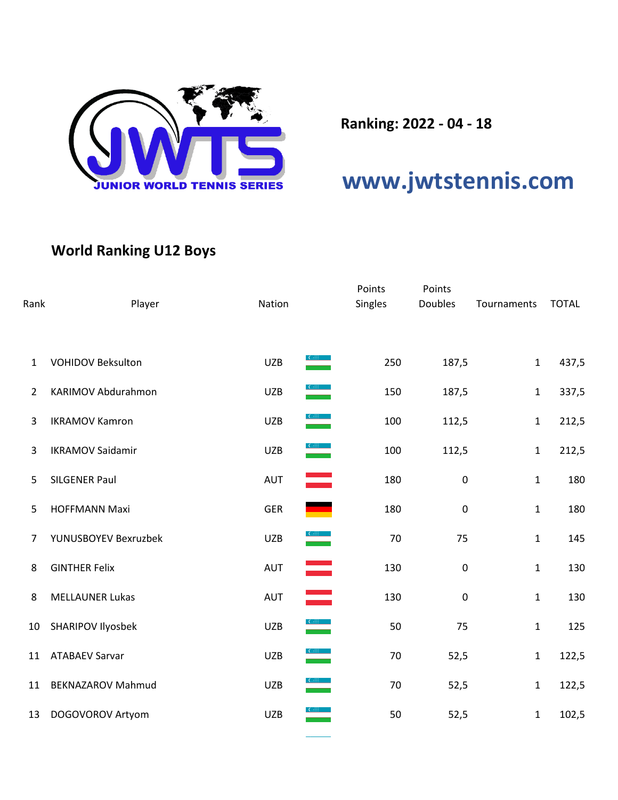

**Ranking: 2022 - 04 - 18**

## **[www.jwtstennis.com](http://www.jwtstennis.com/)**

## **World Ranking U12 Boys**

| Rank           | Player                   | Nation                                                                                                 | Points<br>Singles | Points<br><b>Doubles</b> | Tournaments  | <b>TOTAL</b> |
|----------------|--------------------------|--------------------------------------------------------------------------------------------------------|-------------------|--------------------------|--------------|--------------|
| $\mathbf{1}$   | <b>VOHIDOV Beksulton</b> | <b>UZB</b>                                                                                             | 250               | 187,5                    | $\mathbf{1}$ | 437,5        |
| $\overline{2}$ | KARIMOV Abdurahmon       | <b>UZB</b>                                                                                             | 150               | 187,5                    | $\mathbf{1}$ | 337,5        |
| 3              | <b>IKRAMOV Kamron</b>    | $\frac{1}{2}$<br><b>UZB</b>                                                                            | 100               | 112,5                    | $\mathbf{1}$ | 212,5        |
| 3              | <b>IKRAMOV Saidamir</b>  | $\frac{1}{\sqrt{1-\frac{1}{2}}\sqrt{1-\frac{1}{2}}\left(\frac{1}{2}-\frac{1}{2}\right)}$<br><b>UZB</b> | 100               | 112,5                    | $\mathbf{1}$ | 212,5        |
| 5              | <b>SILGENER Paul</b>     | ═<br><b>AUT</b>                                                                                        | 180               | $\pmb{0}$                | 1            | 180          |
| 5              | <b>HOFFMANN Maxi</b>     | ٠<br><b>GER</b>                                                                                        | 180               | $\pmb{0}$                | $\mathbf{1}$ | 180          |
| 7              | YUNUSBOYEV Bexruzbek     | <b>UZB</b>                                                                                             | 70                | 75                       | $\mathbf{1}$ | 145          |
| 8              | <b>GINTHER Felix</b>     | AUT                                                                                                    | 130               | $\pmb{0}$                | $\mathbf{1}$ | 130          |
| 8              | <b>MELLAUNER Lukas</b>   | $\equiv$<br>AUT                                                                                        | 130               | $\pmb{0}$                | $\mathbf{1}$ | 130          |
| 10             | SHARIPOV Ilyosbek        | $\frac{C_{\text{eff}}}{\sqrt{2}}$<br><b>UZB</b>                                                        | 50                | 75                       | $\mathbf 1$  | 125          |
| 11             | <b>ATABAEV Sarvar</b>    | $\frac{1}{2}$<br><b>UZB</b>                                                                            | 70                | 52,5                     | $\mathbf{1}$ | 122,5        |
| 11             | <b>BEKNAZAROV Mahmud</b> | <b>UZB</b>                                                                                             | 70                | 52,5                     | $\mathbf 1$  | 122,5        |
| 13             | DOGOVOROV Artyom         | <b>UZB</b>                                                                                             | 50                | 52,5                     | $\mathbf{1}$ | 102,5        |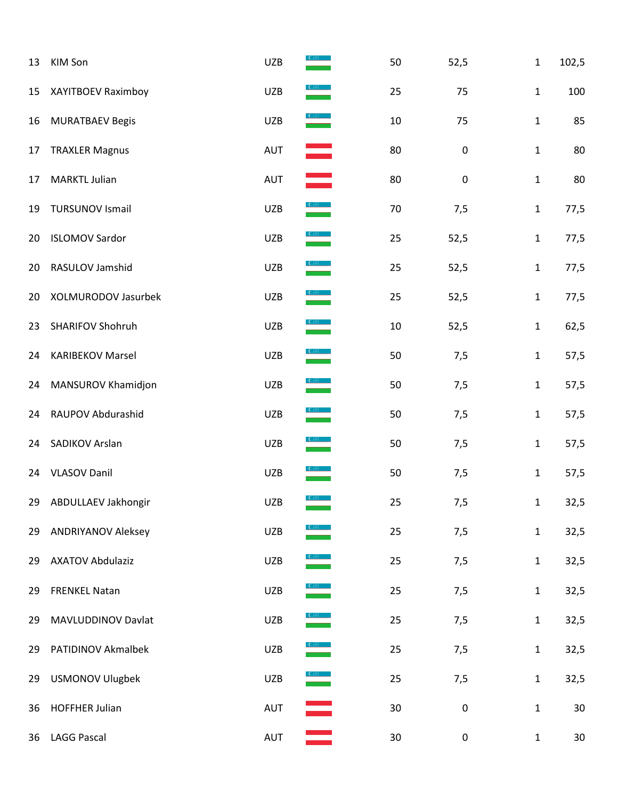| 13 | KIM Son                   | <b>UZB</b> |                                                                                                                                                                                                                                                                                                                                                                   | 50     | 52,5      | $\mathbf{1}$ | 102,5  |
|----|---------------------------|------------|-------------------------------------------------------------------------------------------------------------------------------------------------------------------------------------------------------------------------------------------------------------------------------------------------------------------------------------------------------------------|--------|-----------|--------------|--------|
| 15 | XAYITBOEV Raximboy        | <b>UZB</b> | $rac{1}{\sqrt{1-\frac{1}{2}}}$                                                                                                                                                                                                                                                                                                                                    | 25     | 75        | $\mathbf{1}$ | 100    |
| 16 | <b>MURATBAEV Begis</b>    | <b>UZB</b> | $rac{1}{\sqrt{1-\frac{1}{2}}}$                                                                                                                                                                                                                                                                                                                                    | 10     | 75        | $\mathbf{1}$ | 85     |
| 17 | <b>TRAXLER Magnus</b>     | AUT        | $\equiv$                                                                                                                                                                                                                                                                                                                                                          | 80     | $\pmb{0}$ | $\mathbf{1}$ | 80     |
| 17 | <b>MARKTL Julian</b>      | AUT        | and and all                                                                                                                                                                                                                                                                                                                                                       | 80     | $\pmb{0}$ | $\mathbf{1}$ | 80     |
| 19 | <b>TURSUNOV Ismail</b>    | <b>UZB</b> | $\frac{1}{2}$                                                                                                                                                                                                                                                                                                                                                     | $70\,$ | 7,5       | $\mathbf{1}$ | 77,5   |
| 20 | <b>ISLOMOV Sardor</b>     | <b>UZB</b> | $\frac{1}{\sqrt{1-\frac{1}{2}}\sqrt{1-\frac{1}{2}}}$                                                                                                                                                                                                                                                                                                              | 25     | 52,5      | $\mathbf{1}$ | 77,5   |
| 20 | RASULOV Jamshid           | <b>UZB</b> | $\frac{1}{\sqrt{2}}$                                                                                                                                                                                                                                                                                                                                              | 25     | 52,5      | $\mathbf{1}$ | 77,5   |
| 20 | XOLMURODOV Jasurbek       | <b>UZB</b> | $\begin{array}{ c } \hline \text{C}^{\text{eff}} & \text{D}^{\text{eff}} \\ \hline \end{array}$                                                                                                                                                                                                                                                                   | 25     | 52,5      | $\mathbf{1}$ | 77,5   |
| 23 | SHARIFOV Shohruh          | <b>UZB</b> | $\frac{1}{2}$                                                                                                                                                                                                                                                                                                                                                     | $10\,$ | 52,5      | $\mathbf{1}$ | 62,5   |
| 24 | <b>KARIBEKOV Marsel</b>   | <b>UZB</b> | $\frac{1}{\sqrt{2}}\sum_{i=1}^{n} \frac{1}{i} \sum_{i=1}^{n} \frac{1}{i} \sum_{j=1}^{n} \frac{1}{j} \sum_{i=1}^{n} \frac{1}{j} \sum_{j=1}^{n} \frac{1}{j} \sum_{j=1}^{n} \frac{1}{j} \sum_{j=1}^{n} \frac{1}{j} \sum_{j=1}^{n} \frac{1}{j} \sum_{j=1}^{n} \frac{1}{j} \sum_{j=1}^{n} \frac{1}{j} \sum_{j=1}^{n} \frac{1}{j} \sum_{j=1}^{n} \frac{1}{j} \sum_{j=1$ | 50     | 7,5       | $\mathbf{1}$ | 57,5   |
| 24 | MANSUROV Khamidjon        | <b>UZB</b> | $rac{1}{\sqrt{1-\frac{1}{2}}\sqrt{1-\frac{1}{2}}}$                                                                                                                                                                                                                                                                                                                | 50     | 7,5       | $\mathbf{1}$ | 57,5   |
| 24 | RAUPOV Abdurashid         | <b>UZB</b> | $\frac{1}{\sqrt{1-\frac{1}{2}}\sqrt{1-\frac{1}{2}}}$                                                                                                                                                                                                                                                                                                              | 50     | 7,5       | $\mathbf{1}$ | 57,5   |
| 24 | SADIKOV Arslan            | <b>UZB</b> | $\frac{1}{\sqrt{2}}$                                                                                                                                                                                                                                                                                                                                              | 50     | 7,5       | $\mathbf{1}$ | 57,5   |
| 24 | <b>VLASOV Danil</b>       | <b>UZB</b> |                                                                                                                                                                                                                                                                                                                                                                   | 50     | 7,5       | $\mathbf{1}$ | 57,5   |
|    | 29 ABDULLAEV Jakhongir    | UZB        |                                                                                                                                                                                                                                                                                                                                                                   | 25     | 7,5       | $\mathbf{1}$ | 32,5   |
| 29 | <b>ANDRIYANOV Aleksey</b> | <b>UZB</b> |                                                                                                                                                                                                                                                                                                                                                                   | 25     | 7,5       | $\mathbf{1}$ | 32,5   |
| 29 | <b>AXATOV Abdulaziz</b>   | UZB        | $\frac{1}{\frac{1}{2}}$                                                                                                                                                                                                                                                                                                                                           | 25     | 7,5       | $\mathbf{1}$ | 32,5   |
| 29 | <b>FRENKEL Natan</b>      | <b>UZB</b> |                                                                                                                                                                                                                                                                                                                                                                   | 25     | 7,5       | $\mathbf{1}$ | 32,5   |
| 29 | MAVLUDDINOV Davlat        | <b>UZB</b> | $\begin{array}{ c } \hline \text{CoIII} & \text{ } \\ \hline \end{array}$                                                                                                                                                                                                                                                                                         | 25     | 7,5       | $\mathbf{1}$ | 32,5   |
| 29 | PATIDINOV Akmalbek        | <b>UZB</b> | $\overline{\text{C}}$                                                                                                                                                                                                                                                                                                                                             | 25     | 7,5       | $\mathbf{1}$ | 32,5   |
| 29 | <b>USMONOV Ulugbek</b>    | <b>UZB</b> |                                                                                                                                                                                                                                                                                                                                                                   | 25     | 7,5       | $\mathbf{1}$ | 32,5   |
| 36 | <b>HOFFHER Julian</b>     | AUT        |                                                                                                                                                                                                                                                                                                                                                                   | 30     | $\pmb{0}$ | $\mathbf{1}$ | 30     |
| 36 | <b>LAGG Pascal</b>        | AUT        |                                                                                                                                                                                                                                                                                                                                                                   | 30     | $\pmb{0}$ | $\mathbf{1}$ | $30\,$ |